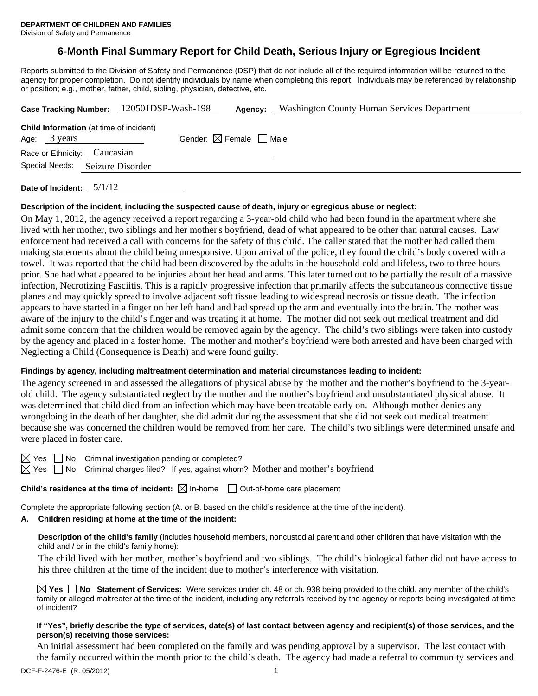# **6-Month Final Summary Report for Child Death, Serious Injury or Egregious Incident**

Reports submitted to the Division of Safety and Permanence (DSP) that do not include all of the required information will be returned to the agency for proper completion. Do not identify individuals by name when completing this report. Individuals may be referenced by relationship or position; e.g., mother, father, child, sibling, physician, detective, etc.

|                                                                |                  | Case Tracking Number: 120501DSP-Wash-198 | Agency:                                | <b>Washington County Human Services Department</b> |
|----------------------------------------------------------------|------------------|------------------------------------------|----------------------------------------|----------------------------------------------------|
| <b>Child Information</b> (at time of incident)<br>Age: 3 years |                  |                                          | Gender: $\boxtimes$ Female $\Box$ Male |                                                    |
| Race or Ethnicity: Caucasian                                   |                  |                                          |                                        |                                                    |
| Special Needs:                                                 | Seizure Disorder |                                          |                                        |                                                    |
|                                                                |                  |                                          |                                        |                                                    |

**Date of Incident:** 5/1/12

#### **Description of the incident, including the suspected cause of death, injury or egregious abuse or neglect:**

On May 1, 2012, the agency received a report regarding a 3-year-old child who had been found in the apartment where she lived with her mother, two siblings and her mother's boyfriend, dead of what appeared to be other than natural causes. Law enforcement had received a call with concerns for the safety of this child. The caller stated that the mother had called them making statements about the child being unresponsive. Upon arrival of the police, they found the child's body covered with a towel. It was reported that the child had been discovered by the adults in the household cold and lifeless, two to three hours prior. She had what appeared to be injuries about her head and arms. This later turned out to be partially the result of a massive infection, Necrotizing Fasciitis. This is a rapidly progressive infection that primarily affects the subcutaneous connective tissue planes and may quickly spread to involve adjacent soft tissue leading to widespread necrosis or tissue death. The infection appears to have started in a finger on her left hand and had spread up the arm and eventually into the brain. The mother was aware of the injury to the child's finger and was treating it at home. The mother did not seek out medical treatment and did admit some concern that the children would be removed again by the agency. The child's two siblings were taken into custody by the agency and placed in a foster home. The mother and mother's boyfriend were both arrested and have been charged with Neglecting a Child (Consequence is Death) and were found guilty.

#### **Findings by agency, including maltreatment determination and material circumstances leading to incident:**

The agency screened in and assessed the allegations of physical abuse by the mother and the mother's boyfriend to the 3-yearold child. The agency substantiated neglect by the mother and the mother's boyfriend and unsubstantiated physical abuse. It was determined that child died from an infection which may have been treatable early on. Although mother denies any wrongdoing in the death of her daughter, she did admit during the assessment that she did not seek out medical treatment because she was concerned the children would be removed from her care. The child's two siblings were determined unsafe and were placed in foster care.

 $\boxtimes$  Yes  $\Box$  No Criminal investigation pending or completed?

 $\boxtimes$  Yes  $\Box$  No Criminal charges filed? If yes, against whom? Mother and mother's boyfriend

**Child's residence at the time of incident:**  $\boxtimes$  In-home  $\Box$  Out-of-home care placement

Complete the appropriate following section (A. or B. based on the child's residence at the time of the incident).

## **A. Children residing at home at the time of the incident:**

**Description of the child's family** (includes household members, noncustodial parent and other children that have visitation with the child and / or in the child's family home):

 The child lived with her mother, mother's boyfriend and two siblings. The child's biological father did not have access to his three children at the time of the incident due to mother's interference with visitation.

**Yes No Statement of Services:** Were services under ch. 48 or ch. 938 being provided to the child, any member of the child's family or alleged maltreater at the time of the incident, including any referrals received by the agency or reports being investigated at time of incident?

## **If "Yes", briefly describe the type of services, date(s) of last contact between agency and recipient(s) of those services, and the person(s) receiving those services:**

An initial assessment had been completed on the family and was pending approval by a supervisor. The last contact with the family occurred within the month prior to the child's death. The agency had made a referral to community services and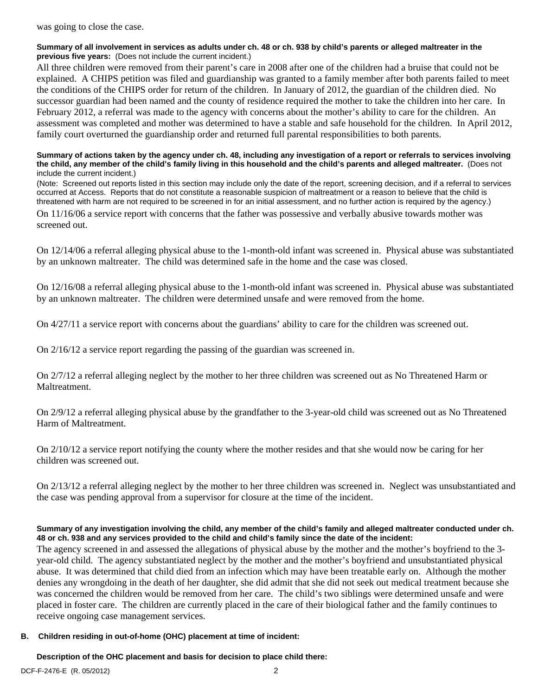was going to close the case.

#### **Summary of all involvement in services as adults under ch. 48 or ch. 938 by child's parents or alleged maltreater in the previous five years:** (Does not include the current incident.)

All three children were removed from their parent's care in 2008 after one of the children had a bruise that could not be explained. A CHIPS petition was filed and guardianship was granted to a family member after both parents failed to meet the conditions of the CHIPS order for return of the children. In January of 2012, the guardian of the children died. No successor guardian had been named and the county of residence required the mother to take the children into her care. In February 2012, a referral was made to the agency with concerns about the mother's ability to care for the children. An assessment was completed and mother was determined to have a stable and safe household for the children. In April 2012, family court overturned the guardianship order and returned full parental responsibilities to both parents.

#### **Summary of actions taken by the agency under ch. 48, including any investigation of a report or referrals to services involving the child, any member of the child's family living in this household and the child's parents and alleged maltreater.** (Does not include the current incident.)

(Note: Screened out reports listed in this section may include only the date of the report, screening decision, and if a referral to services occurred at Access. Reports that do not constitute a reasonable suspicion of maltreatment or a reason to believe that the child is threatened with harm are not required to be screened in for an initial assessment, and no further action is required by the agency.)

On 11/16/06 a service report with concerns that the father was possessive and verbally abusive towards mother was screened out.

On 12/14/06 a referral alleging physical abuse to the 1-month-old infant was screened in. Physical abuse was substantiated by an unknown maltreater. The child was determined safe in the home and the case was closed.

On 12/16/08 a referral alleging physical abuse to the 1-month-old infant was screened in. Physical abuse was substantiated by an unknown maltreater. The children were determined unsafe and were removed from the home.

On 4/27/11 a service report with concerns about the guardians' ability to care for the children was screened out.

On 2/16/12 a service report regarding the passing of the guardian was screened in.

On 2/7/12 a referral alleging neglect by the mother to her three children was screened out as No Threatened Harm or Maltreatment.

On 2/9/12 a referral alleging physical abuse by the grandfather to the 3-year-old child was screened out as No Threatened Harm of Maltreatment.

On 2/10/12 a service report notifying the county where the mother resides and that she would now be caring for her children was screened out.

On 2/13/12 a referral alleging neglect by the mother to her three children was screened in. Neglect was unsubstantiated and the case was pending approval from a supervisor for closure at the time of the incident.

#### **Summary of any investigation involving the child, any member of the child's family and alleged maltreater conducted under ch. 48 or ch. 938 and any services provided to the child and child's family since the date of the incident:**

The agency screened in and assessed the allegations of physical abuse by the mother and the mother's boyfriend to the 3 year-old child. The agency substantiated neglect by the mother and the mother's boyfriend and unsubstantiated physical abuse. It was determined that child died from an infection which may have been treatable early on. Although the mother denies any wrongdoing in the death of her daughter, she did admit that she did not seek out medical treatment because she was concerned the children would be removed from her care. The child's two siblings were determined unsafe and were placed in foster care. The children are currently placed in the care of their biological father and the family continues to receive ongoing case management services.

#### **B. Children residing in out-of-home (OHC) placement at time of incident:**

**Description of the OHC placement and basis for decision to place child there:**